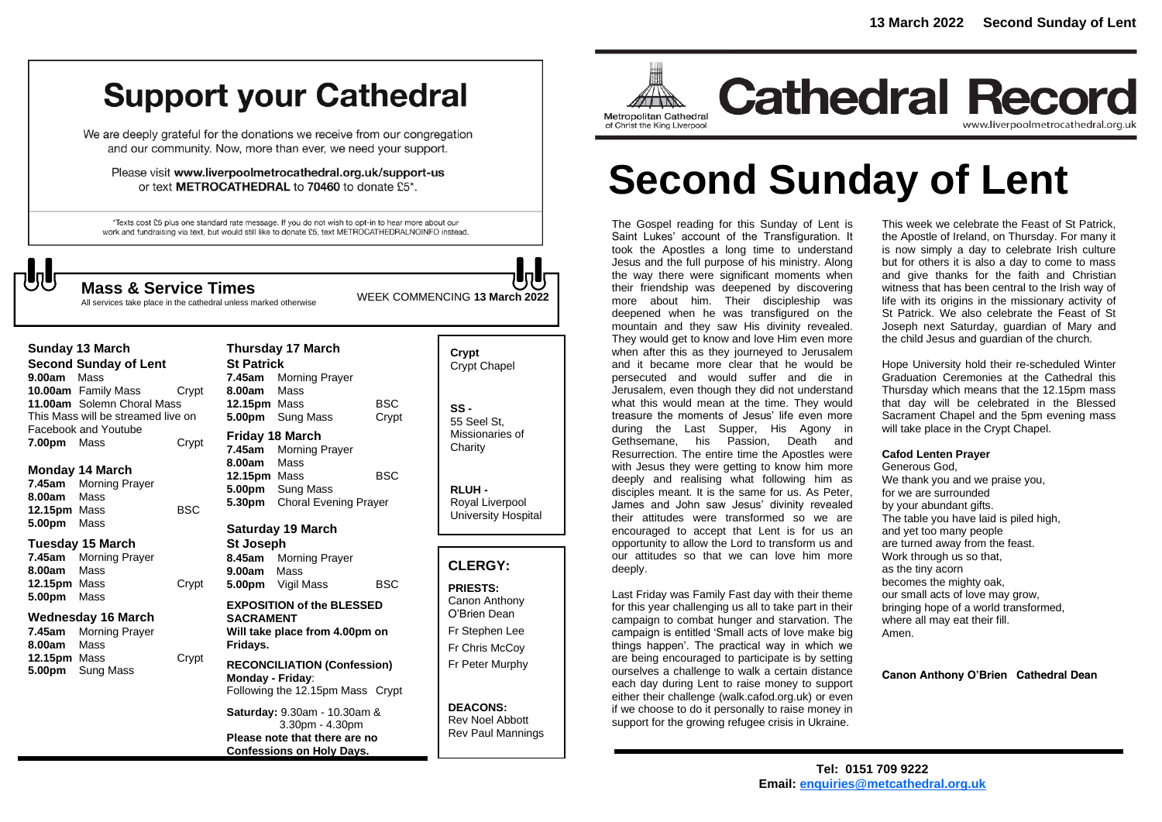## **Support your Cathedral**

We are deeply grateful for the donations we receive from our congregation and our community. Now, more than ever, we need your support.

Please visit www.liverpoolmetrocathedral.org.uk/support-us or text METROCATHEDRAL to 70460 to donate £5\*.

\*Texts cost £5 plus one standard rate message. If you do not wish to opt-in to hear more about our work and fundraising via text, but would still like to donate £5, text METROCATHEDRALNOINFO instead.

**Thursday 17 March**

WEEK COMMENCING **13 March <sup>2022</sup> Mass & Service Times**

All services take place in the cathedral unless marked otherwise

| Sunday 13 March                    |                      |       |  |  |
|------------------------------------|----------------------|-------|--|--|
| <b>Second Sunday of Lent</b>       |                      |       |  |  |
| 9.00am Mass                        |                      |       |  |  |
|                                    | 10.00am Family Mass  | Crypt |  |  |
| 11.00am Solemn Choral Mass         |                      |       |  |  |
| This Mass will be streamed live on |                      |       |  |  |
|                                    | Facebook and Youtube |       |  |  |
| 7.00pm Mass                        |                      | Crypt |  |  |

#### **Monday 14 March**

**7.45am** Morning Prayer **8.00am** Mass **12.15pm** Mass BSC **5.00pm** Mass

#### **Tuesday 15 March**

**7.45am** Morning Prayer **8.00am** Mass **12.15pm** Mass Crypt **5.00pm** Mass

#### **Wednesday 16 March**

**7.45am** Morning Prayer **8.00am** Mass **12.15pm** Mass Crypt **5.00pm** Sung Mass

| <b>St Patrick</b>        |                              |            |  |  |
|--------------------------|------------------------------|------------|--|--|
| 7.45am                   | <b>Morning Prayer</b>        |            |  |  |
| 8.00am Mass              |                              |            |  |  |
| 12.15pm Mass             |                              | BSC        |  |  |
|                          | 5.00pm Sung Mass             | Crypt      |  |  |
| <b>Friday 18 March</b>   |                              |            |  |  |
| 7.45am                   | <b>Morning Prayer</b>        |            |  |  |
| 8.00am                   | Mass                         |            |  |  |
| 12.15pm Mass             |                              | <b>BSC</b> |  |  |
|                          | 5.00pm Sung Mass             |            |  |  |
| 5.30pm                   | <b>Choral Evening Prayer</b> |            |  |  |
| <b>Saturday 19 March</b> |                              |            |  |  |
| <b>St Joseph</b>         |                              |            |  |  |
|                          | 8.45am Morning Prayer        |            |  |  |
| 9.00am                   | Mass                         |            |  |  |

#### **EXPOSITION of the BLESSED SACRAMENT Will take place from 4.00pm on Fridays. RECONCILIATION (Confession) Monday - Friday**: Following the 12.15pm Mass Crypt

**5.00pm** Vigil Mass BSC

**Saturday:** 9.30am - 10.30am & 3.30pm - 4.30pm **Please note that there are no Confessions on Holy Days.**

| Crypt<br>Crypt Chapel                             |
|---------------------------------------------------|
| SS -<br>55 Seel St.<br>Missionaries of<br>Charity |

**RLUH -** Royal Liverpool University Hospital

#### **CLERGY:**

**PRIESTS:** Canon Anthony O'Brien *Dean* Fr Stephen Lee Fr Chris McCoy Fr Peter Murphy

**DEACONS:** Rev Noel Abbott Rev Paul Mannings



## www.liverpoolmetrocathedral.org.uk

# **Second Sunday of Lent**

The Gospel reading for this Sunday of Lent is Saint Lukes' account of the Transfiguration. It took the Apostles a long time to understand Jesus and the full purpose of his ministry. Along the way there were significant moments when their friendship was deepened by discovering more about him. Their discipleship was deepened when he was transfigured on the mountain and they saw His divinity revealed. They would get to know and love Him even more when after this as they journeyed to Jerusalem and it became more clear that he would be persecuted and would suffer and die in Jerusalem, even though they did not understand what this would mean at the time. They would treasure the moments of Jesus' life even more during the Last Supper, His Agony in Gethsemane, his Passion, Death and Resurrection. The entire time the Apostles were with Jesus they were getting to know him more deeply and realising what following him as disciples meant. It is the same for us. As Peter, James and John saw Jesus' divinity revealed their attitudes were transformed so we are encouraged to accept that Lent is for us an opportunity to allow the Lord to transform us and our attitudes so that we can love him more deeply.

Last Friday was Family Fast day with their theme for this year challenging us all to take part in their campaign to combat hunger and starvation. The campaign is entitled 'Small acts of love make big things happen'. The practical way in which we are being encouraged to participate is by setting ourselves a challenge to walk a certain distance each day during Lent to raise money to support either their challenge (walk.cafod.org.uk) or even if we choose to do it personally to raise money in support for the growing refugee crisis in Ukraine.

This week we celebrate the Feast of St Patrick, the Apostle of Ireland, on Thursday. For many it is now simply a day to celebrate Irish culture but for others it is also a day to come to mass and give thanks for the faith and Christian witness that has been central to the Irish way of life with its origins in the missionary activity of St Patrick. We also celebrate the Feast of St Joseph next Saturday, guardian of Mary and the child Jesus and guardian of the church.

Hope University hold their re-scheduled Winter Graduation Ceremonies at the Cathedral this Thursday which means that the 12.15pm mass that day will be celebrated in the Blessed Sacrament Chapel and the 5pm evening mass will take place in the Crypt Chapel.

#### **Cafod Lenten Prayer**

Generous God, We thank you and we praise you, for we are surrounded by your abundant gifts. The table you have laid is piled high, and yet too many people are turned away from the feast. Work through us so that, as the tiny acorn becomes the mighty oak, our small acts of love may grow, bringing hope of a world transformed, where all may eat their fill. Amen.

#### **Canon Anthony O'Brien Cathedral Dean**